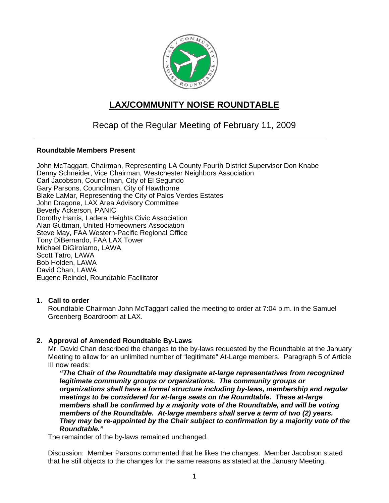

# **LAX/COMMUNITY NOISE ROUNDTABLE**

## Recap of the Regular Meeting of February 11, 2009

#### **Roundtable Members Present**

John McTaggart, Chairman, Representing LA County Fourth District Supervisor Don Knabe Denny Schneider, Vice Chairman, Westchester Neighbors Association Carl Jacobson, Councilman, City of El Segundo Gary Parsons, Councilman, City of Hawthorne Blake LaMar, Representing the City of Palos Verdes Estates John Dragone, LAX Area Advisory Committee Beverly Ackerson, PANIC Dorothy Harris, Ladera Heights Civic Association Alan Guttman, United Homeowners Association Steve May, FAA Western-Pacific Regional Office Tony DiBernardo, FAA LAX Tower Michael DiGirolamo, LAWA Scott Tatro, LAWA Bob Holden, LAWA David Chan, LAWA Eugene Reindel, Roundtable Facilitator

#### **1. Call to order**

Roundtable Chairman John McTaggart called the meeting to order at 7:04 p.m. in the Samuel Greenberg Boardroom at LAX.

#### **2. Approval of Amended Roundtable By-Laws**

Mr. David Chan described the changes to the by-laws requested by the Roundtable at the January Meeting to allow for an unlimited number of "legitimate" At-Large members. Paragraph 5 of Article III now reads:

*"The Chair of the Roundtable may designate at-large representatives from recognized legitimate community groups or organizations. The community groups or organizations shall have a formal structure including by-laws, membership and regular meetings to be considered for at-large seats on the Roundtable. These at-large members shall be confirmed by a majority vote of the Roundtable, and will be voting members of the Roundtable. At-large members shall serve a term of two (2) years. They may be re-appointed by the Chair subject to confirmation by a majority vote of the Roundtable."* 

The remainder of the by-laws remained unchanged.

Discussion: Member Parsons commented that he likes the changes. Member Jacobson stated that he still objects to the changes for the same reasons as stated at the January Meeting.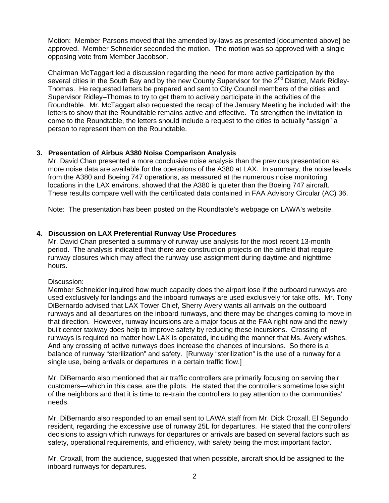Motion: Member Parsons moved that the amended by-laws as presented [documented above] be approved. Member Schneider seconded the motion. The motion was so approved with a single opposing vote from Member Jacobson.

Chairman McTaggart led a discussion regarding the need for more active participation by the several cities in the South Bay and by the new County Supervisor for the 2<sup>nd</sup> District, Mark Ridley-Thomas. He requested letters be prepared and sent to City Council members of the cities and Supervisor Ridley–Thomas to try to get them to actively participate in the activities of the Roundtable. Mr. McTaggart also requested the recap of the January Meeting be included with the letters to show that the Roundtable remains active and effective. To strengthen the invitation to come to the Roundtable, the letters should include a request to the cities to actually "assign" a person to represent them on the Roundtable.

#### **3. Presentation of Airbus A380 Noise Comparison Analysis**

Mr. David Chan presented a more conclusive noise analysis than the previous presentation as more noise data are available for the operations of the A380 at LAX. In summary, the noise levels from the A380 and Boeing 747 operations, as measured at the numerous noise monitoring locations in the LAX environs, showed that the A380 is quieter than the Boeing 747 aircraft. These results compare well with the certificated data contained in FAA Advisory Circular (AC) 36.

Note: The presentation has been posted on the Roundtable's webpage on LAWA's website.

#### **4. Discussion on LAX Preferential Runway Use Procedures**

Mr. David Chan presented a summary of runway use analysis for the most recent 13-month period. The analysis indicated that there are construction projects on the airfield that require runway closures which may affect the runway use assignment during daytime and nighttime hours.

Discussion:

Member Schneider inquired how much capacity does the airport lose if the outboard runways are used exclusively for landings and the inboard runways are used exclusively for take offs. Mr. Tony DiBernardo advised that LAX Tower Chief, Sherry Avery wants all arrivals on the outboard runways and all departures on the inboard runways, and there may be changes coming to move in that direction. However, runway incursions are a major focus at the FAA right now and the newly built center taxiway does help to improve safety by reducing these incursions. Crossing of runways is required no matter how LAX is operated, including the manner that Ms. Avery wishes. And any crossing of active runways does increase the chances of incursions. So there is a balance of runway "sterilization" and safety. [Runway "sterilization" is the use of a runway for a single use, being arrivals or departures in a certain traffic flow.]

Mr. DiBernardo also mentioned that air traffic controllers are primarily focusing on serving their customers—which in this case, are the pilots. He stated that the controllers sometime lose sight of the neighbors and that it is time to re-train the controllers to pay attention to the communities' needs.

Mr. DiBernardo also responded to an email sent to LAWA staff from Mr. Dick Croxall, El Segundo resident, regarding the excessive use of runway 25L for departures. He stated that the controllers' decisions to assign which runways for departures or arrivals are based on several factors such as safety, operational requirements, and efficiency, with safety being the most important factor.

Mr. Croxall, from the audience, suggested that when possible, aircraft should be assigned to the inboard runways for departures.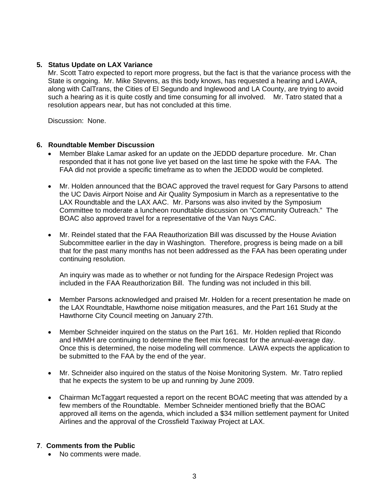#### **5. Status Update on LAX Variance**

Mr. Scott Tatro expected to report more progress, but the fact is that the variance process with the State is ongoing. Mr. Mike Stevens, as this body knows, has requested a hearing and LAWA, along with CalTrans, the Cities of El Segundo and Inglewood and LA County, are trying to avoid such a hearing as it is quite costly and time consuming for all involved. Mr. Tatro stated that a resolution appears near, but has not concluded at this time.

Discussion: None.

#### **6. Roundtable Member Discussion**

- Member Blake Lamar asked for an update on the JEDDD departure procedure. Mr. Chan responded that it has not gone live yet based on the last time he spoke with the FAA. The FAA did not provide a specific timeframe as to when the JEDDD would be completed.
- Mr. Holden announced that the BOAC approved the travel request for Gary Parsons to attend the UC Davis Airport Noise and Air Quality Symposium in March as a representative to the LAX Roundtable and the LAX AAC. Mr. Parsons was also invited by the Symposium Committee to moderate a luncheon roundtable discussion on "Community Outreach." The BOAC also approved travel for a representative of the Van Nuys CAC.
- Mr. Reindel stated that the FAA Reauthorization Bill was discussed by the House Aviation Subcommittee earlier in the day in Washington. Therefore, progress is being made on a bill that for the past many months has not been addressed as the FAA has been operating under continuing resolution.

An inquiry was made as to whether or not funding for the Airspace Redesign Project was included in the FAA Reauthorization Bill. The funding was not included in this bill.

- Member Parsons acknowledged and praised Mr. Holden for a recent presentation he made on the LAX Roundtable, Hawthorne noise mitigation measures, and the Part 161 Study at the Hawthorne City Council meeting on January 27th.
- Member Schneider inquired on the status on the Part 161. Mr. Holden replied that Ricondo and HMMH are continuing to determine the fleet mix forecast for the annual-average day. Once this is determined, the noise modeling will commence. LAWA expects the application to be submitted to the FAA by the end of the year.
- Mr. Schneider also inquired on the status of the Noise Monitoring System. Mr. Tatro replied that he expects the system to be up and running by June 2009.
- Chairman McTaggart requested a report on the recent BOAC meeting that was attended by a few members of the Roundtable. Member Schneider mentioned briefly that the BOAC approved all items on the agenda, which included a \$34 million settlement payment for United Airlines and the approval of the Crossfield Taxiway Project at LAX.

#### **7**. **Comments from the Public**

• No comments were made.